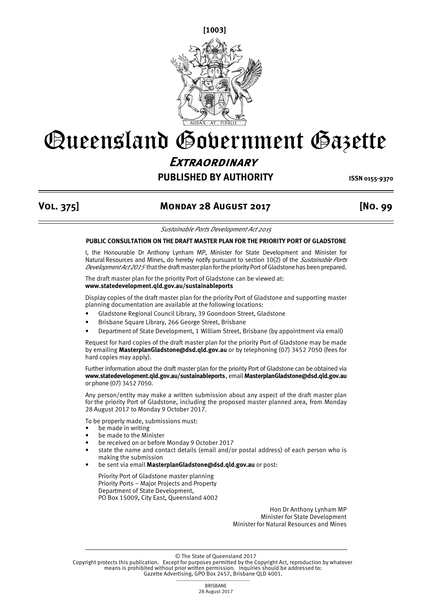**[1003]**



## Queensland Government Gazette **Extraordinary**

## **PUBLISHED BY AUTHORITY ISSN 0155-9370**

## **Vol. 375] Monday 28 August 2017 [No. 99**

*Sustainable Ports Development Act 2015*

## **PUBLIC CONSULTATION ON THE DRAFT MASTER PLAN FOR THE PRIORITY PORT OF GLADSTONE**

I, the Honourable Dr Anthony Lynham MP, Minister for State Development and Minister for Natural Resources and Mines, do hereby notify pursuant to section 10(2) of the *Sustainable Ports Development Act 2015* that the draft master plan for the priority Port of Gladstone has been prepared.

The draft master plan for the priority Port of Gladstone can be viewed at: **www.statedevelopment.qld.gov.au/sustainableports**

Display copies of the draft master plan for the priority Port of Gladstone and supporting master planning documentation are available at the following locations:

- Gladstone Regional Council Library, 39 Goondoon Street, Gladstone
- Brisbane Square Library, 266 George Street, Brisbane
- Department of State Development, 1 William Street, Brisbane (by appointment via email)

Request for hard copies of the draft master plan for the priority Port of Gladstone may be made by emailing **MasterplanGladstone@dsd.qld.gov.au** or by telephoning (07) 3452 7050 (fees for hard copies may apply).

Further information about the draft master plan for the priority Port of Gladstone can be obtained via **www.statedevelopment.qld.gov.au/sustainableports**, email **MasterplanGladstone@dsd.qld.gov.au** or phone (07) 3452 7050.

Any person/entity may make a written submission about any aspect of the draft master plan for the priority Port of Gladstone, including the proposed master planned area, from Monday 28 August 2017 to Monday 9 October 2017.

To be properly made, submissions must:

- be made in writing
- be made to the Minister
- be received on or before Monday 9 October 2017
- state the name and contact details (email and/or postal address) of each person who is making the submission
- be sent via email **MasterplanGladstone@dsd.qld.gov.au** or post:

Priority Port of Gladstone master planning Priority Ports – Major Projects and Property Department of State Development, PO Box 15009, City East, Queensland 4002

> Hon Dr Anthony Lynham MP Minister for State Development Minister for Natural Resources and Mines

© The State of Queensland 2017

Copyright protects this publication. Except for purposes permitted by the Copyright Act, reproduction by whatever means is prohibited without prior written permission. Inquiries should be addressed to: Gazette Advertising, GPO Box 2457, Brisbane QLD 4001.

> **BRISBANE** 28 August 2017